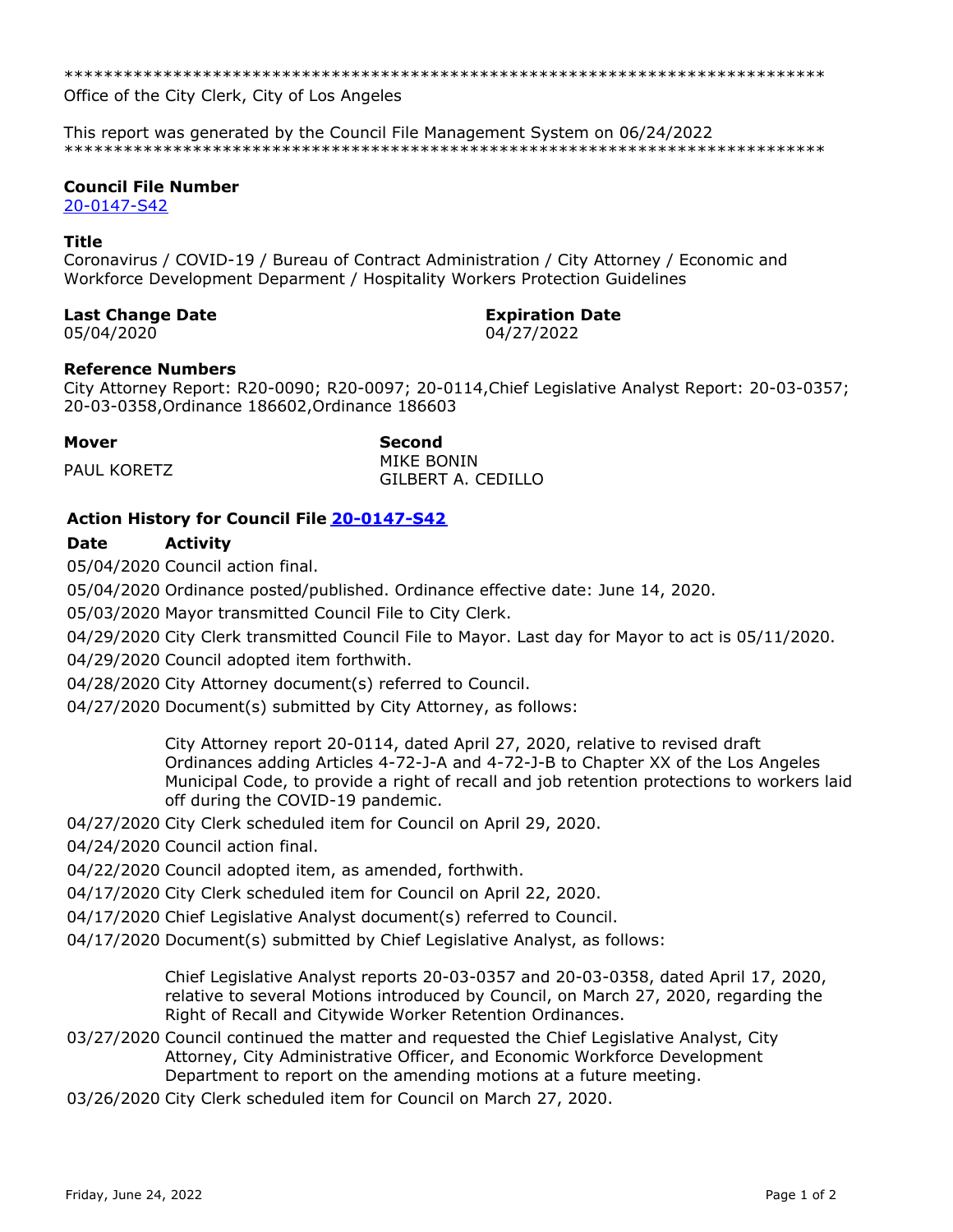\*\*\*\*\*\*\*\*\*\*\*\*\*\*\*\*\*\*\*\*\*\*\*\*\*\*\*\*\*\*\*\*\*\*\*\*\*\*\*\*\*\*\*\*\*\*\*\*\*\*\*\*\*\*\*\*\*\*\*\*\*\*\*\*\*\*\*\*\*\*\*\*\*\*\*\*\*

Office of the City Clerk, City of Los Angeles

This report was generated by the Council File Management System on 06/24/2022 \*\*\*\*\*\*\*\*\*\*\*\*\*\*\*\*\*\*\*\*\*\*\*\*\*\*\*\*\*\*\*\*\*\*\*\*\*\*\*\*\*\*\*\*\*\*\*\*\*\*\*\*\*\*\*\*\*\*\*\*\*\*\*\*\*\*\*\*\*\*\*\*\*\*\*\*\*

## **Council File Number**

[20-0147-S42](https://cityclerk.lacity.org/lacityclerkconnect/index.cfm?fa=ccfi.viewrecord&cfnumber=20-0147-S42)

## **Title**

Coronavirus / COVID-19 / Bureau of Contract Administration / City Attorney / Economic and Workforce Development Deparment / Hospitality Workers Protection Guidelines

## **Last Change Date Expiration Date**

05/04/2020 04/27/2022

## **Reference Numbers**

City Attorney Report: R20-0090; R20-0097; 20-0114,Chief Legislative Analyst Report: 20-03-0357; 20-03-0358,Ordinance 186602,Ordinance 186603

**Mover Second** PAUL KORETZ MIKE BONIN GILBERT A. CEDILLO

# **Action History for Council File [20-0147-S42](https://cityclerk.lacity.org/lacityclerkconnect/index.cfm?fa=ccfi.viewrecord&cfnumber=20-0147-S42)**

## **Date Activity**

05/04/2020 Council action final.

05/04/2020 Ordinance posted/published. Ordinance effective date: June 14, 2020.

05/03/2020 Mayor transmitted Council File to City Clerk.

04/29/2020 City Clerk transmitted Council File to Mayor. Last day for Mayor to act is 05/11/2020.

04/29/2020 Council adopted item forthwith.

04/28/2020 City Attorney document(s) referred to Council.

04/27/2020 Document(s) submitted by City Attorney, as follows:

City Attorney report 20-0114, dated April 27, 2020, relative to revised draft Ordinances adding Articles 4-72-J-A and 4-72-J-B to Chapter XX of the Los Angeles Municipal Code, to provide a right of recall and job retention protections to workers laid off during the COVID-19 pandemic.

04/27/2020 City Clerk scheduled item for Council on April 29, 2020.

04/24/2020 Council action final.

04/22/2020 Council adopted item, as amended, forthwith.

04/17/2020 City Clerk scheduled item for Council on April 22, 2020.

04/17/2020 Chief Legislative Analyst document(s) referred to Council.

04/17/2020 Document(s) submitted by Chief Legislative Analyst, as follows:

Chief Legislative Analyst reports 20-03-0357 and 20-03-0358, dated April 17, 2020, relative to several Motions introduced by Council, on March 27, 2020, regarding the Right of Recall and Citywide Worker Retention Ordinances.

- 03/27/2020 Council continued the matter and requested the Chief Legislative Analyst, City Attorney, City Administrative Officer, and Economic Workforce Development Department to report on the amending motions at a future meeting.
- 03/26/2020 City Clerk scheduled item for Council on March 27, 2020.